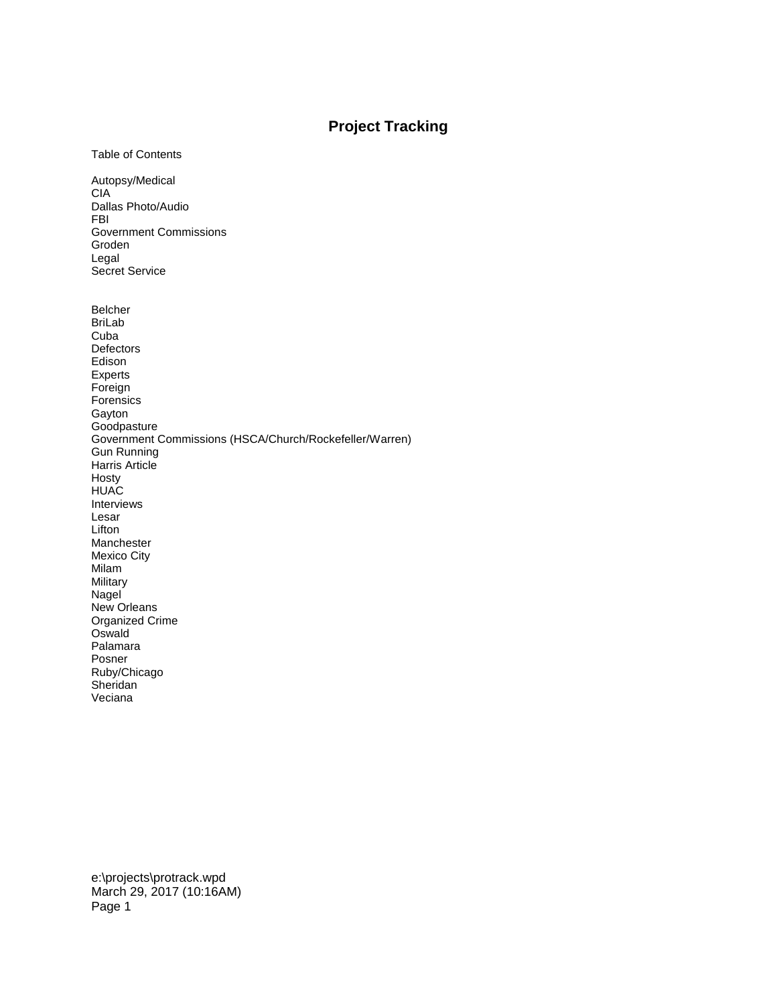## **Project Tracking**

Table of Contents

Autopsy/Medical CIA Dallas Photo/Audio FBI Government Commissions Groden Legal Secret Service

Belcher BriLab Cuba Defectors Edison Experts Foreign Forensics Gayton **Goodpasture** Government Commissions (HSCA/Church/Rockefeller/Warren) Gun Running Harris Article Hosty **HUAC** Interviews Lesar **Lifton** Manchester Mexico City Milam Military Nagel New Orleans Organized Crime **Oswald** Palamara Posner Ruby/Chicago Sheridan Veciana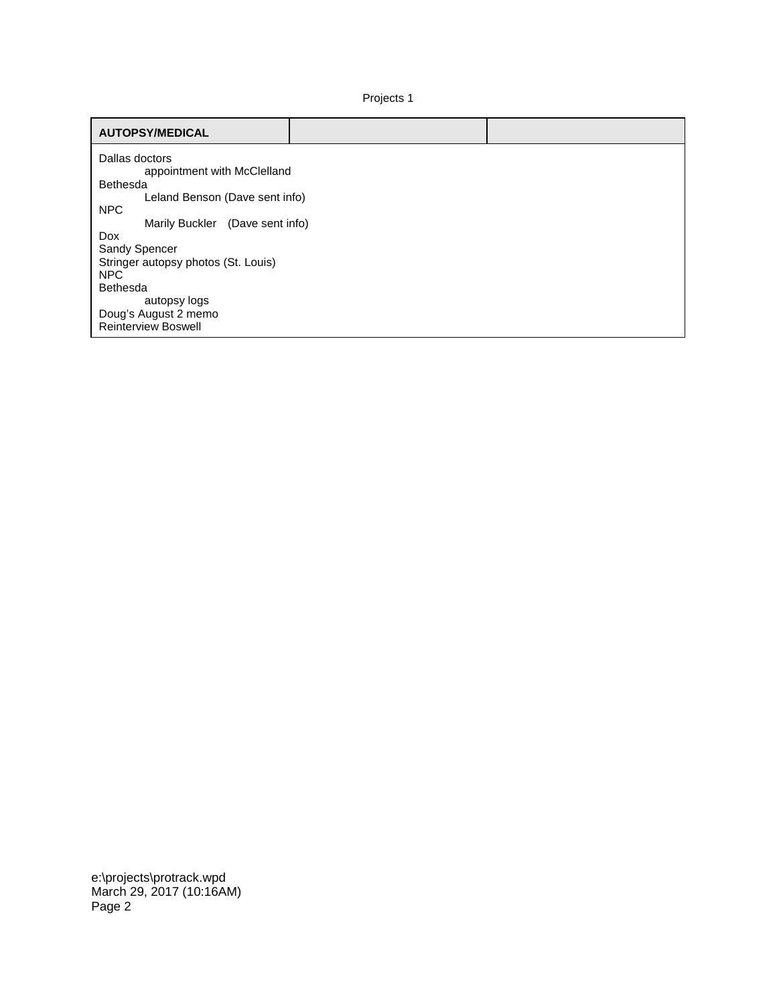Projects 1

| <b>AUTOPSY/MEDICAL</b>                        |  |
|-----------------------------------------------|--|
| Dallas doctors<br>appointment with McClelland |  |
| Bethesda                                      |  |
| Leland Benson (Dave sent info)                |  |
| <b>NPC</b>                                    |  |
| Marily Buckler (Dave sent info)               |  |
| Dox                                           |  |
| Sandy Spencer                                 |  |
| Stringer autopsy photos (St. Louis)           |  |
| NPC                                           |  |
| Bethesda                                      |  |
| autopsy logs                                  |  |
| Doug's August 2 memo                          |  |
| <b>Reinterview Boswell</b>                    |  |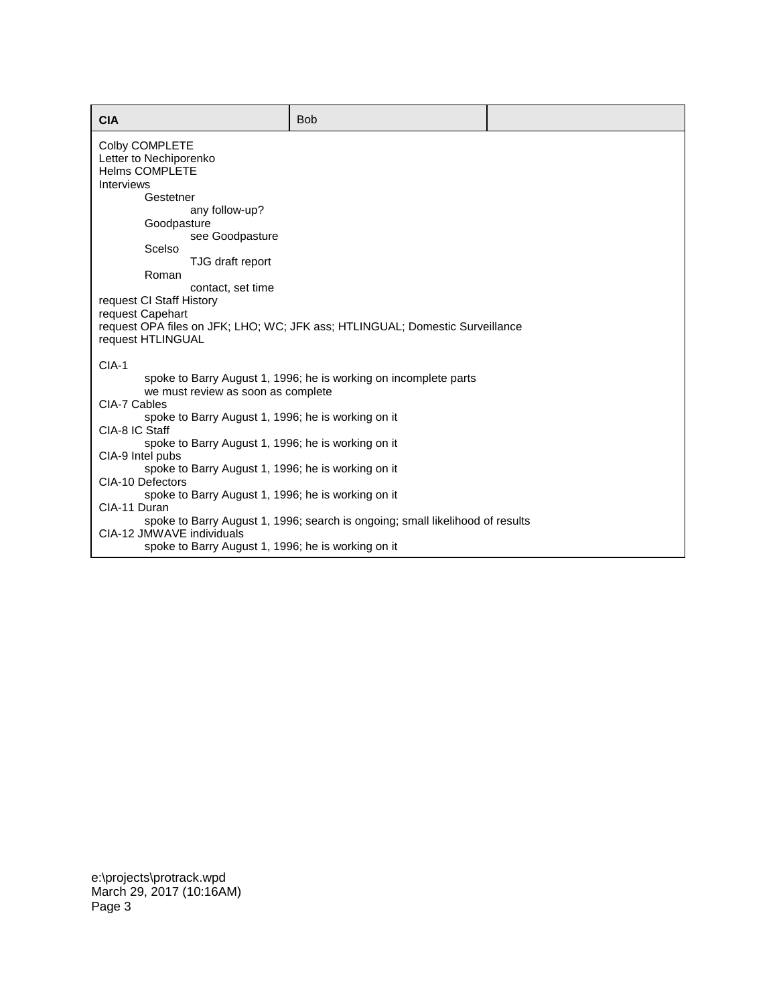| <b>CIA</b>                                                                      | <b>Bob</b>                                                                    |  |
|---------------------------------------------------------------------------------|-------------------------------------------------------------------------------|--|
| Colby COMPLETE<br>Letter to Nechiporenko<br><b>Helms COMPLETE</b>               |                                                                               |  |
| <b>Interviews</b><br>Gestetner                                                  |                                                                               |  |
| any follow-up?<br>Goodpasture<br>see Goodpasture                                |                                                                               |  |
| Scelso<br>TJG draft report                                                      |                                                                               |  |
| Roman<br>contact, set time                                                      |                                                                               |  |
| request CI Staff History<br>request Capehart<br>request HTLINGUAL               | request OPA files on JFK; LHO; WC; JFK ass; HTLINGUAL; Domestic Surveillance  |  |
| $CIA-1$<br>we must review as soon as complete<br>CIA-7 Cables                   | spoke to Barry August 1, 1996; he is working on incomplete parts              |  |
| spoke to Barry August 1, 1996; he is working on it<br>CIA-8 IC Staff            |                                                                               |  |
| spoke to Barry August 1, 1996; he is working on it<br>CIA-9 Intel pubs          |                                                                               |  |
| spoke to Barry August 1, 1996; he is working on it<br>CIA-10 Defectors          |                                                                               |  |
| spoke to Barry August 1, 1996; he is working on it<br>CIA-11 Duran              | spoke to Barry August 1, 1996; search is ongoing; small likelihood of results |  |
| CIA-12 JMWAVE individuals<br>spoke to Barry August 1, 1996; he is working on it |                                                                               |  |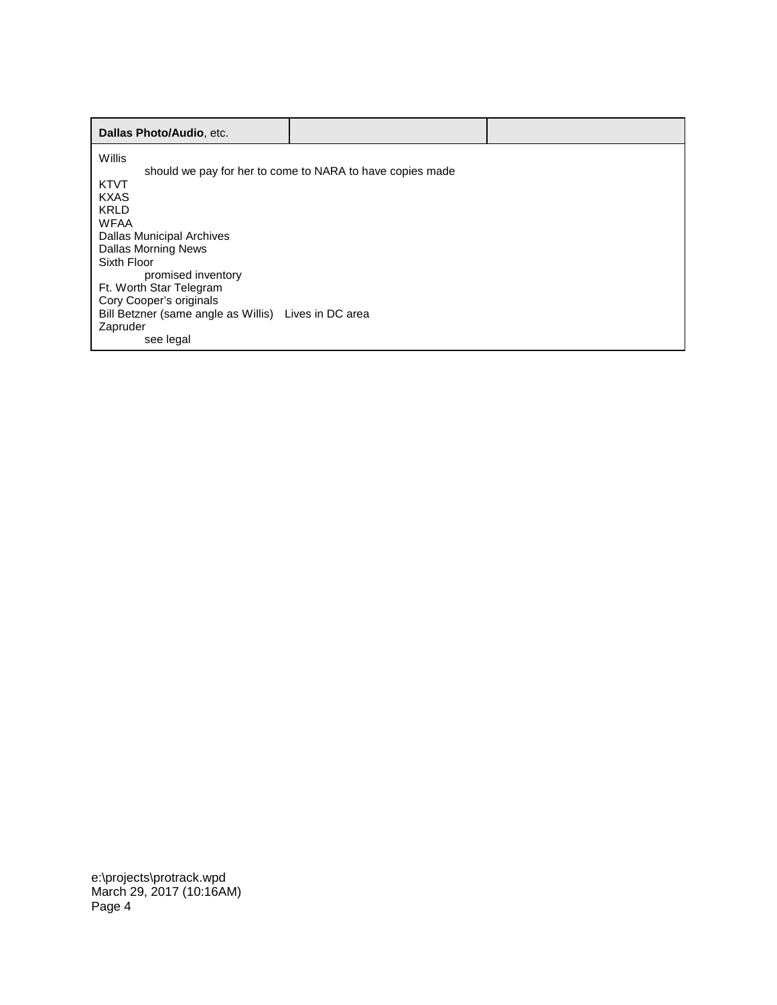| Dallas Photo/Audio, etc.                             |                                                           |  |
|------------------------------------------------------|-----------------------------------------------------------|--|
| Willis                                               |                                                           |  |
| <b>KTVT</b>                                          | should we pay for her to come to NARA to have copies made |  |
| <b>KXAS</b>                                          |                                                           |  |
| <b>KRLD</b>                                          |                                                           |  |
| <b>WFAA</b>                                          |                                                           |  |
| Dallas Municipal Archives                            |                                                           |  |
| Dallas Morning News                                  |                                                           |  |
| Sixth Floor                                          |                                                           |  |
| promised inventory                                   |                                                           |  |
| Ft. Worth Star Telegram                              |                                                           |  |
| Cory Cooper's originals                              |                                                           |  |
| Bill Betzner (same angle as Willis) Lives in DC area |                                                           |  |
| Zapruder                                             |                                                           |  |
| see legal                                            |                                                           |  |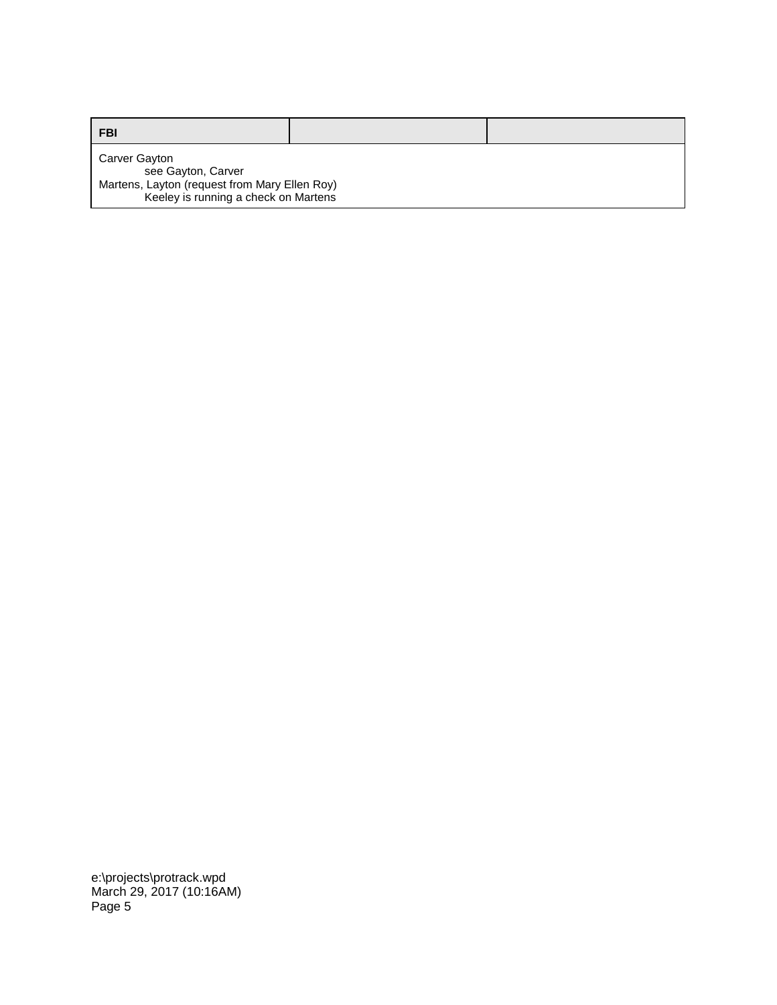| <b>FBI</b>                                                                                                                   |  |
|------------------------------------------------------------------------------------------------------------------------------|--|
| Carver Gayton<br>see Gayton, Carver<br>Martens, Layton (request from Mary Ellen Roy)<br>Keeley is running a check on Martens |  |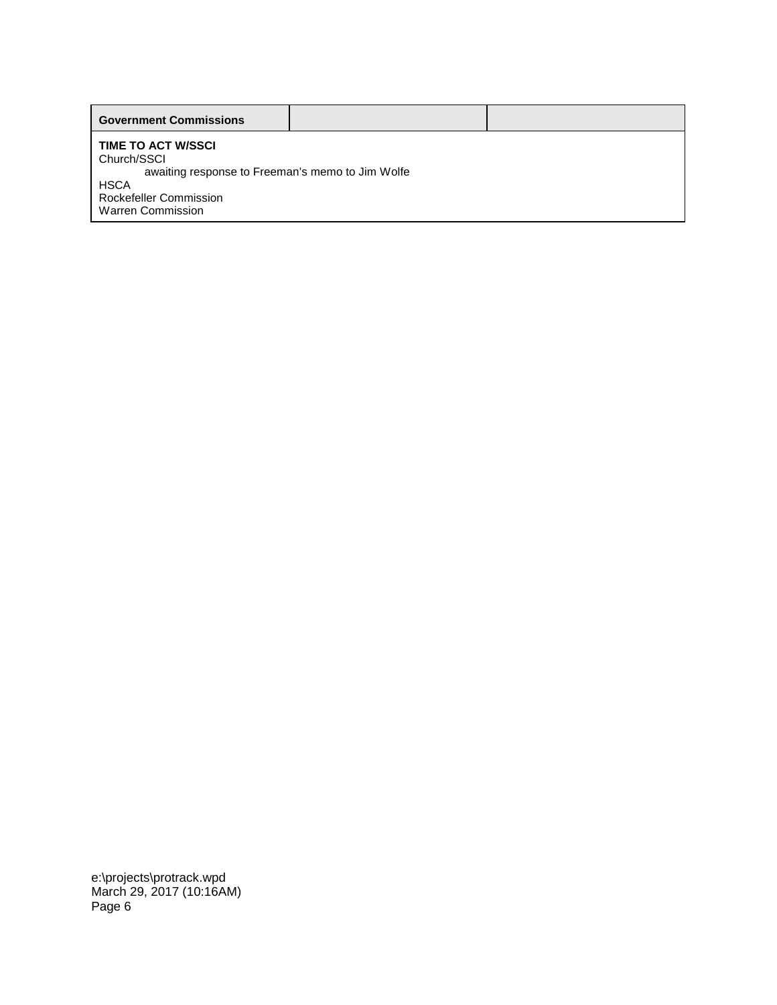| <b>Government Commissions</b>                                                                                                                                            |  |
|--------------------------------------------------------------------------------------------------------------------------------------------------------------------------|--|
| <b>TIME TO ACT W/SSCI</b><br>Church/SSCI<br>awaiting response to Freeman's memo to Jim Wolfe<br><b>HSCA</b><br><b>Rockefeller Commission</b><br><b>Warren Commission</b> |  |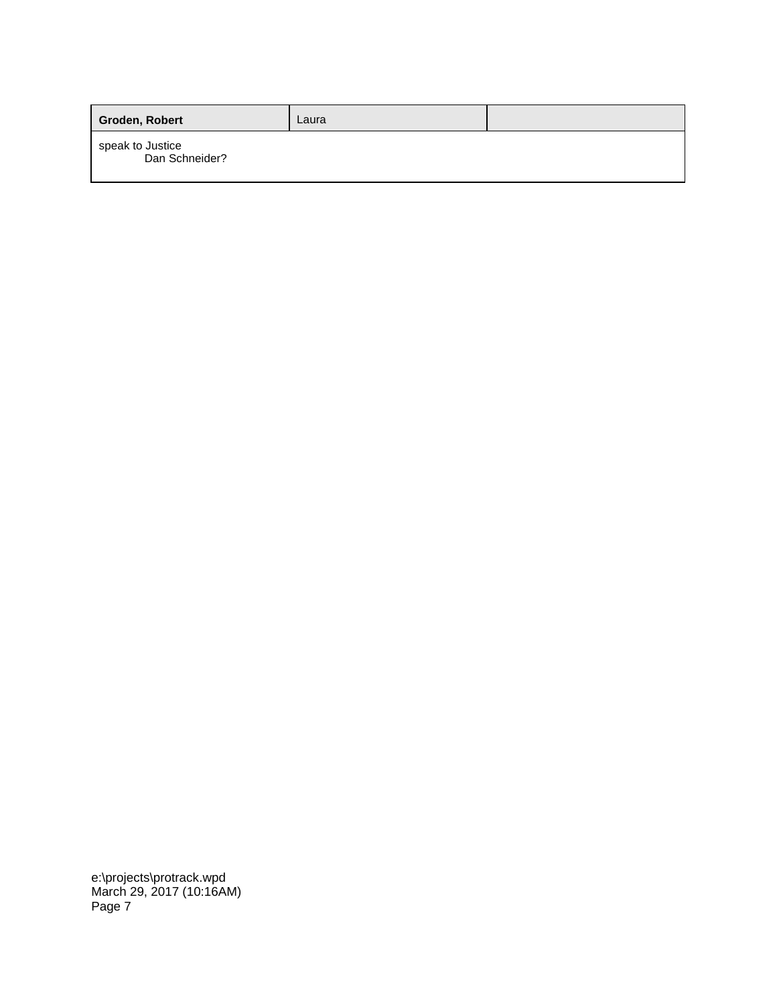| Groden, Robert                     | Laura |  |
|------------------------------------|-------|--|
| speak to Justice<br>Dan Schneider? |       |  |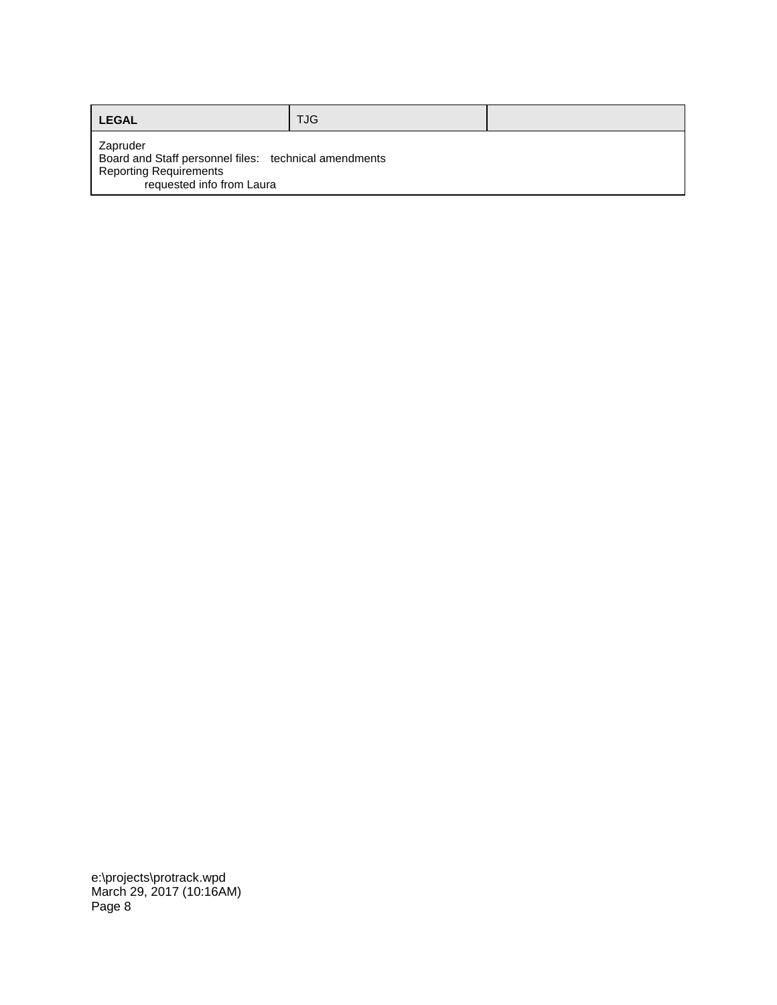| <b>LEGAL</b>                                                                                                                    | <b>TJG</b> |  |
|---------------------------------------------------------------------------------------------------------------------------------|------------|--|
| Zapruder<br>Board and Staff personnel files: technical amendments<br><b>Reporting Requirements</b><br>requested info from Laura |            |  |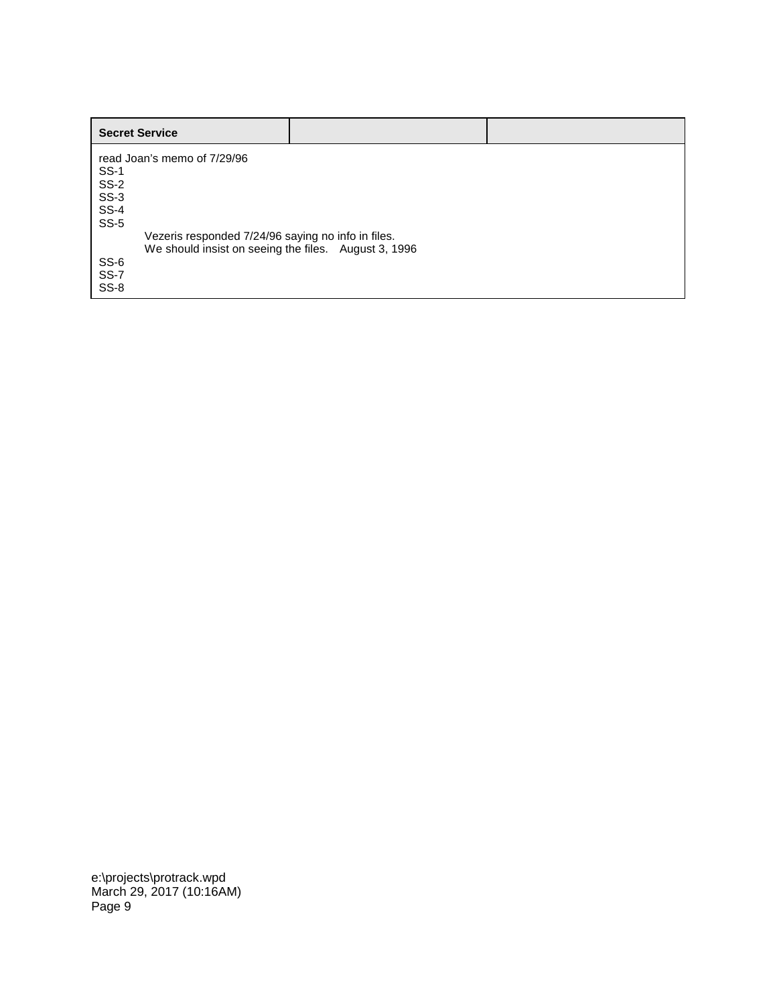| <b>Secret Service</b>                                |  |
|------------------------------------------------------|--|
| read Joan's memo of 7/29/96                          |  |
| <b>SS-1</b>                                          |  |
| $SS-2$                                               |  |
| $SS-3$                                               |  |
| <b>SS-4</b>                                          |  |
| $SS-5$                                               |  |
| Vezeris responded 7/24/96 saying no info in files.   |  |
| We should insist on seeing the files. August 3, 1996 |  |
| SS-6                                                 |  |
| SS-7                                                 |  |
| SS-8                                                 |  |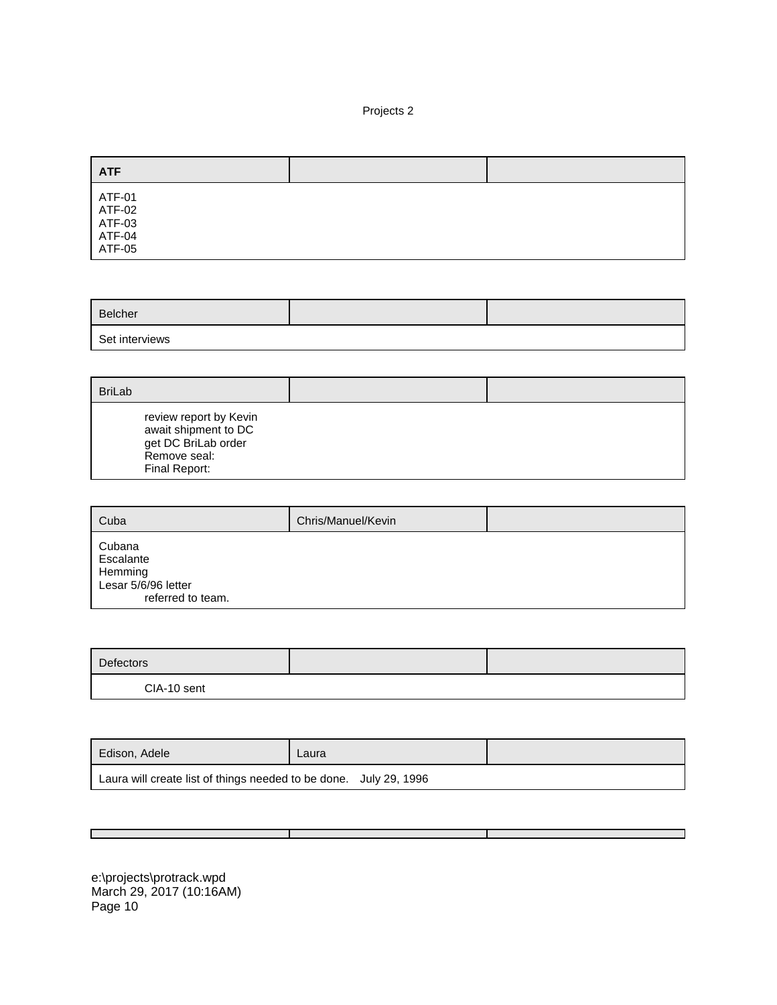## Projects 2

| <b>ATF</b>                                     |  |
|------------------------------------------------|--|
| ATF-01<br>ATF-02<br>ATF-03<br>ATF-04<br>ATF-05 |  |

| Belcher        |  |
|----------------|--|
| Set interviews |  |

| <b>BriLab</b>                                                                                          |  |
|--------------------------------------------------------------------------------------------------------|--|
| review report by Kevin<br>await shipment to DC<br>get DC BriLab order<br>Remove seal:<br>Final Report: |  |

| Cuba                                                                       | Chris/Manuel/Kevin |  |
|----------------------------------------------------------------------------|--------------------|--|
| Cubana<br>Escalante<br>Hemming<br>Lesar 5/6/96 letter<br>referred to team. |                    |  |

| Defectors   |  |
|-------------|--|
| CIA-10 sent |  |

| Edison, Adele                                                     | Laura |  |
|-------------------------------------------------------------------|-------|--|
| Laura will create list of things needed to be done. July 29, 1996 |       |  |

Т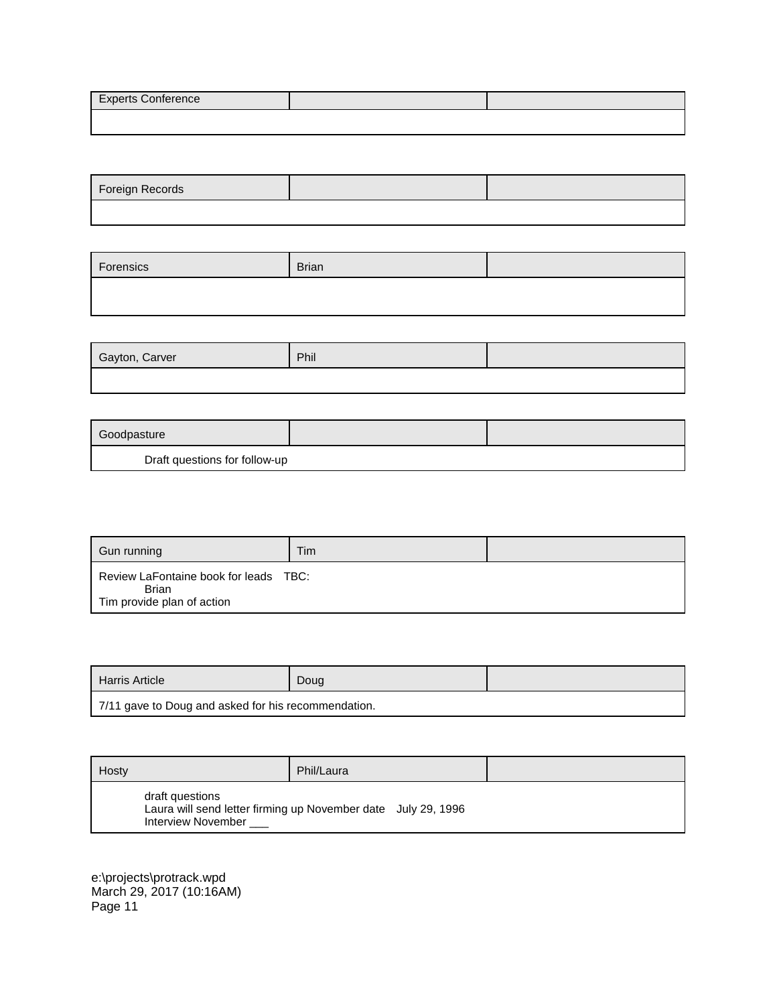| <b>Experts Conference</b> |  |
|---------------------------|--|
|                           |  |

| Foreign Records |  |
|-----------------|--|
|                 |  |

| Forensics | Brian |  |
|-----------|-------|--|
|           |       |  |

| Gayton, Carver | Phil |  |
|----------------|------|--|
|                |      |  |

| Goodpasture                   |  |
|-------------------------------|--|
| Draft questions for follow-up |  |

| Gun running                                                                  | Tim |  |
|------------------------------------------------------------------------------|-----|--|
| Review LaFontaine book for leads TBC:<br>Brian<br>Tim provide plan of action |     |  |

| Harris Article                                      | Doug |  |
|-----------------------------------------------------|------|--|
| 7/11 gave to Doug and asked for his recommendation. |      |  |

| Hosty                                 | Phil/Laura                                                    |  |
|---------------------------------------|---------------------------------------------------------------|--|
| draft questions<br>Interview November | Laura will send letter firming up November date July 29, 1996 |  |

ı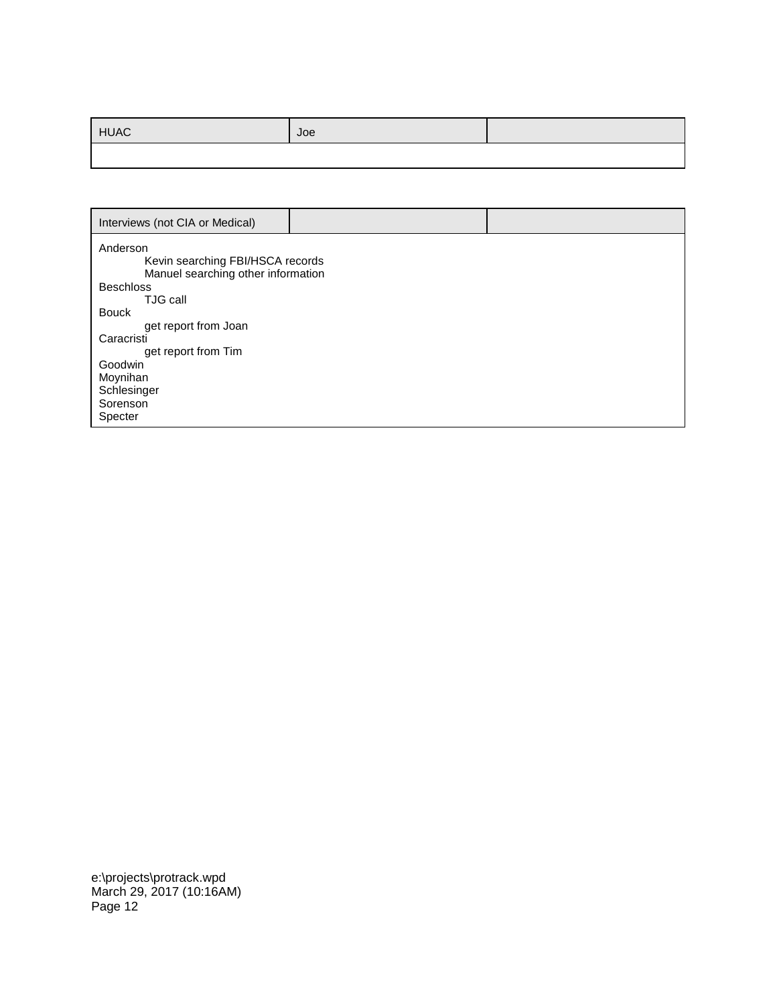| <b>HUAC</b> | Joe |  |
|-------------|-----|--|
|             |     |  |

| Interviews (not CIA or Medical)                                                                                                                                                                                                                              |  |
|--------------------------------------------------------------------------------------------------------------------------------------------------------------------------------------------------------------------------------------------------------------|--|
| Anderson<br>Kevin searching FBI/HSCA records<br>Manuel searching other information<br><b>Beschloss</b><br>TJG call<br><b>Bouck</b><br>get report from Joan<br>Caracristi<br>get report from Tim<br>Goodwin<br>Moynihan<br>Schlesinger<br>Sorenson<br>Specter |  |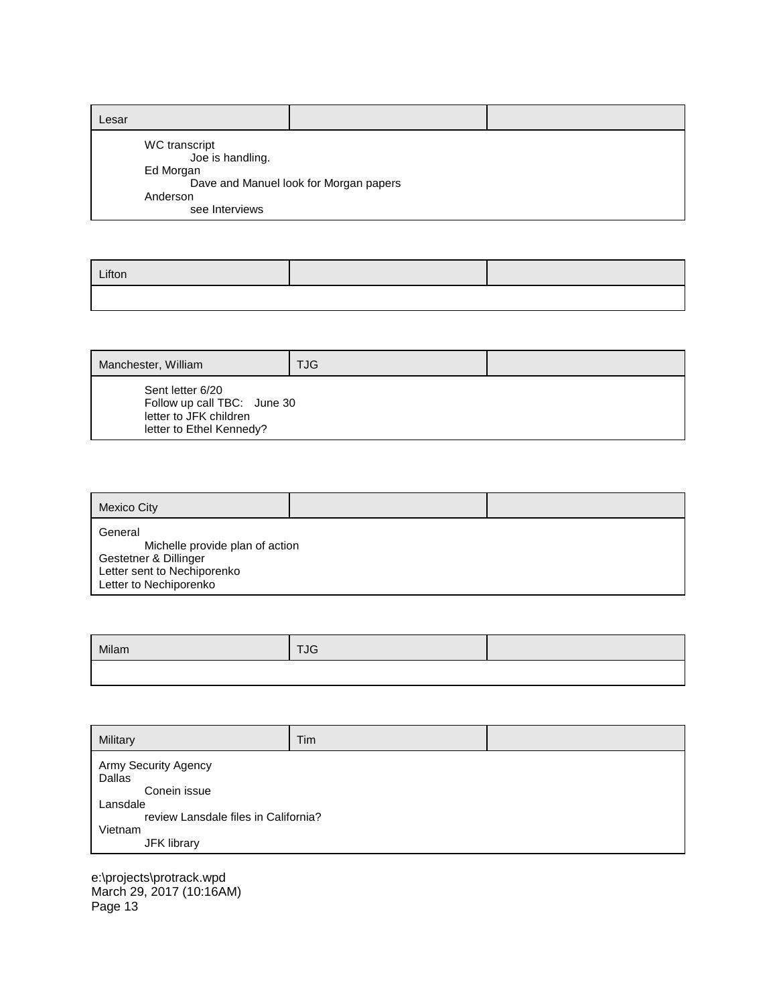| Lesar                                                                        |                                        |  |
|------------------------------------------------------------------------------|----------------------------------------|--|
| WC transcript<br>Joe is handling.<br>Ed Morgan<br>Anderson<br>see Interviews | Dave and Manuel look for Morgan papers |  |

| Lifton |  |
|--------|--|
|        |  |

| Manchester, William                                                                                   | <b>TJG</b> |  |
|-------------------------------------------------------------------------------------------------------|------------|--|
| Sent letter 6/20<br>Follow up call TBC: June 30<br>letter to JFK children<br>letter to Ethel Kennedy? |            |  |

| Mexico City                                                                                                                  |  |
|------------------------------------------------------------------------------------------------------------------------------|--|
| General<br>Michelle provide plan of action<br>Gestetner & Dillinger<br>Letter sent to Nechiporenko<br>Letter to Nechiporenko |  |

| Milam | <b>TJG</b> |  |
|-------|------------|--|
|       |            |  |

| Military                                                                                                                     | Tim |  |
|------------------------------------------------------------------------------------------------------------------------------|-----|--|
| Army Security Agency<br>Dallas<br>Conein issue<br>Lansdale<br>review Lansdale files in California?<br>Vietnam<br>JFK library |     |  |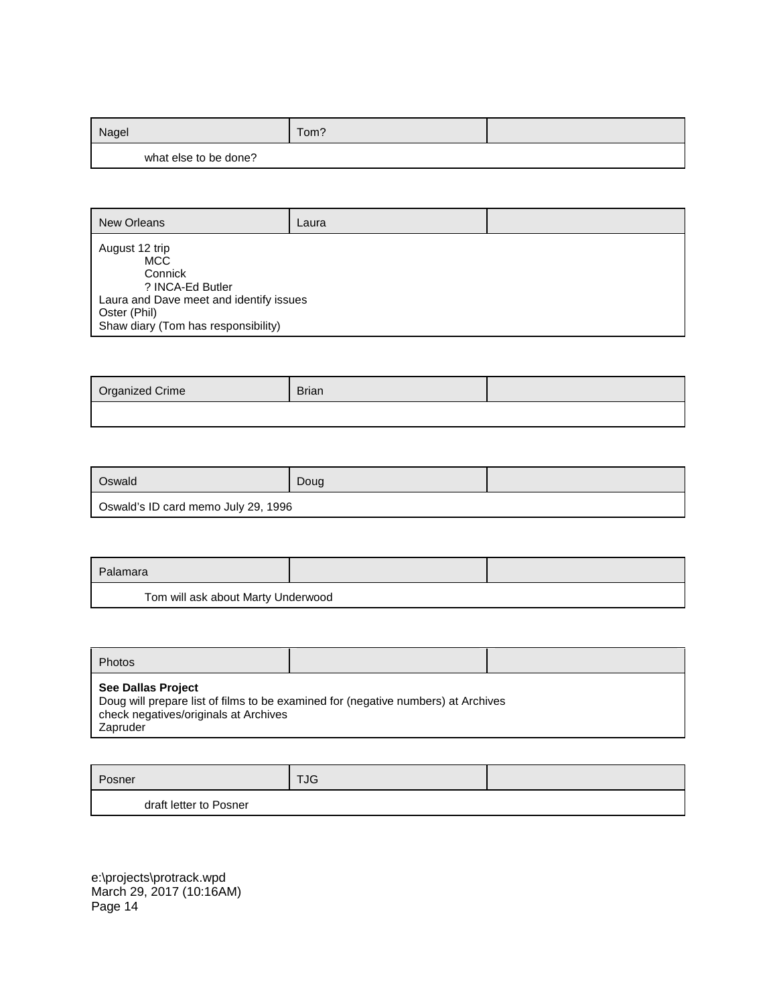| Nagel                 | Tom? |  |
|-----------------------|------|--|
| what else to be done? |      |  |

| <b>New Orleans</b>                                                                                                                                            | Laura |  |
|---------------------------------------------------------------------------------------------------------------------------------------------------------------|-------|--|
| August 12 trip<br><b>MCC</b><br>Connick<br>? INCA-Ed Butler<br>Laura and Dave meet and identify issues<br>Oster (Phil)<br>Shaw diary (Tom has responsibility) |       |  |

| Organized Crime | <b>Brian</b> |  |
|-----------------|--------------|--|
|                 |              |  |

| Oswald                              | Doug |  |
|-------------------------------------|------|--|
| Oswald's ID card memo July 29, 1996 |      |  |

| Palamara                           |  |  |
|------------------------------------|--|--|
| Tom will ask about Marty Underwood |  |  |

| Photos                                                                         |                                                                                   |  |
|--------------------------------------------------------------------------------|-----------------------------------------------------------------------------------|--|
| <b>See Dallas Project</b><br>check negatives/originals at Archives<br>Zapruder | Doug will prepare list of films to be examined for (negative numbers) at Archives |  |

| Posner                 | <b>TJG</b> |  |
|------------------------|------------|--|
| draft letter to Posner |            |  |